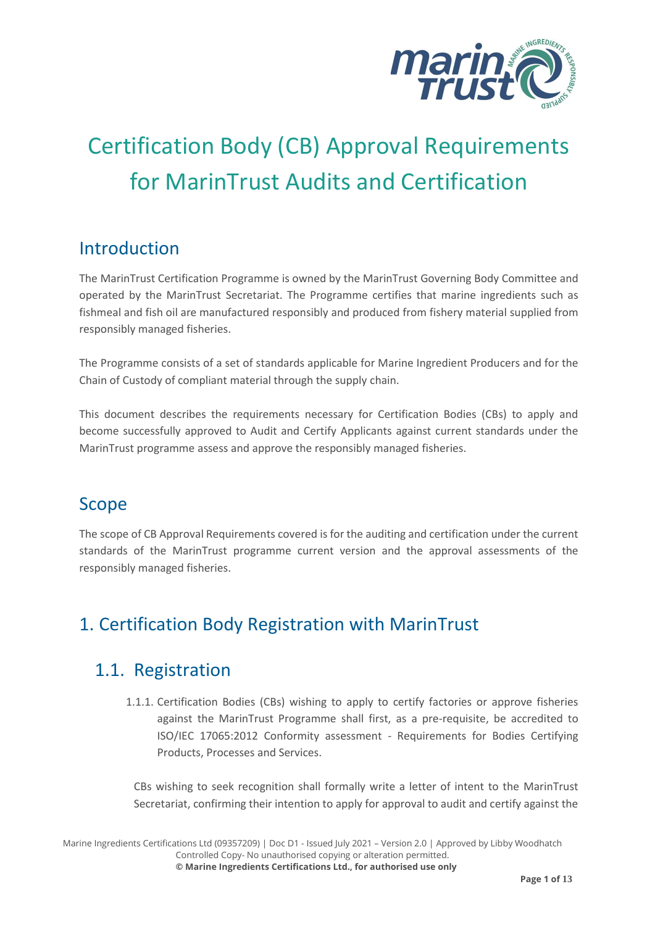

# Certification Body (CB) Approval Requirements for MarinTrust Audits and Certification

#### Introduction

The MarinTrust Certification Programme is owned by the MarinTrust Governing Body Committee and operated by the MarinTrust Secretariat. The Programme certifies that marine ingredients such as fishmeal and fish oil are manufactured responsibly and produced from fishery material supplied from responsibly managed fisheries.

The Programme consists of a set of standards applicable for Marine Ingredient Producers and for the Chain of Custody of compliant material through the supply chain.

This document describes the requirements necessary for Certification Bodies (CBs) to apply and become successfully approved to Audit and Certify Applicants against current standards under the MarinTrust programme assess and approve the responsibly managed fisheries.

#### Scope

The scope of CB Approval Requirements covered is for the auditing and certification under the current standards of the MarinTrust programme current version and the approval assessments of the responsibly managed fisheries.

# 1. Certification Body Registration with MarinTrust

#### 1.1. Registration

1.1.1. Certification Bodies (CBs) wishing to apply to certify factories or approve fisheries against the MarinTrust Programme shall first, as a pre-requisite, be accredited to ISO/IEC 17065:2012 Conformity assessment - Requirements for Bodies Certifying Products, Processes and Services.

CBs wishing to seek recognition shall formally write a letter of intent to the MarinTrust Secretariat, confirming their intention to apply for approval to audit and certify against the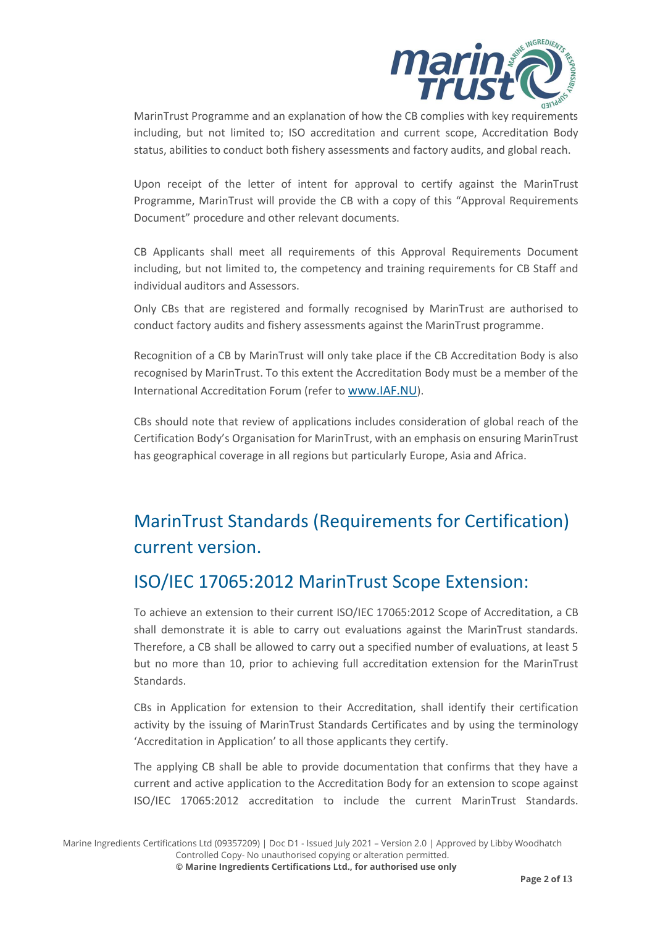

MarinTrust Programme and an explanation of how the CB complies with key requirements including, but not limited to; ISO accreditation and current scope, Accreditation Body status, abilities to conduct both fishery assessments and factory audits, and global reach.

Upon receipt of the letter of intent for approval to certify against the MarinTrust Programme, MarinTrust will provide the CB with a copy of this "Approval Requirements Document" procedure and other relevant documents.

CB Applicants shall meet all requirements of this Approval Requirements Document including, but not limited to, the competency and training requirements for CB Staff and individual auditors and Assessors.

Only CBs that are registered and formally recognised by MarinTrust are authorised to conduct factory audits and fishery assessments against the MarinTrust programme.

Recognition of a CB by MarinTrust will only take place if the CB Accreditation Body is also recognised by MarinTrust. To this extent the Accreditation Body must be a member of the International Accreditation Forum (refer to [www.IAF.NU](about:blank)).

CBs should note that review of applications includes consideration of global reach of the Certification Body's Organisation for MarinTrust, with an emphasis on ensuring MarinTrust has geographical coverage in all regions but particularly Europe, Asia and Africa.

# MarinTrust Standards (Requirements for Certification) current version.

## ISO/IEC 17065:2012 MarinTrust Scope Extension:

To achieve an extension to their current ISO/IEC 17065:2012 Scope of Accreditation, a CB shall demonstrate it is able to carry out evaluations against the MarinTrust standards. Therefore, a CB shall be allowed to carry out a specified number of evaluations, at least 5 but no more than 10, prior to achieving full accreditation extension for the MarinTrust Standards.

CBs in Application for extension to their Accreditation, shall identify their certification activity by the issuing of MarinTrust Standards Certificates and by using the terminology 'Accreditation in Application' to all those applicants they certify.

The applying CB shall be able to provide documentation that confirms that they have a current and active application to the Accreditation Body for an extension to scope against ISO/IEC 17065:2012 accreditation to include the current MarinTrust Standards.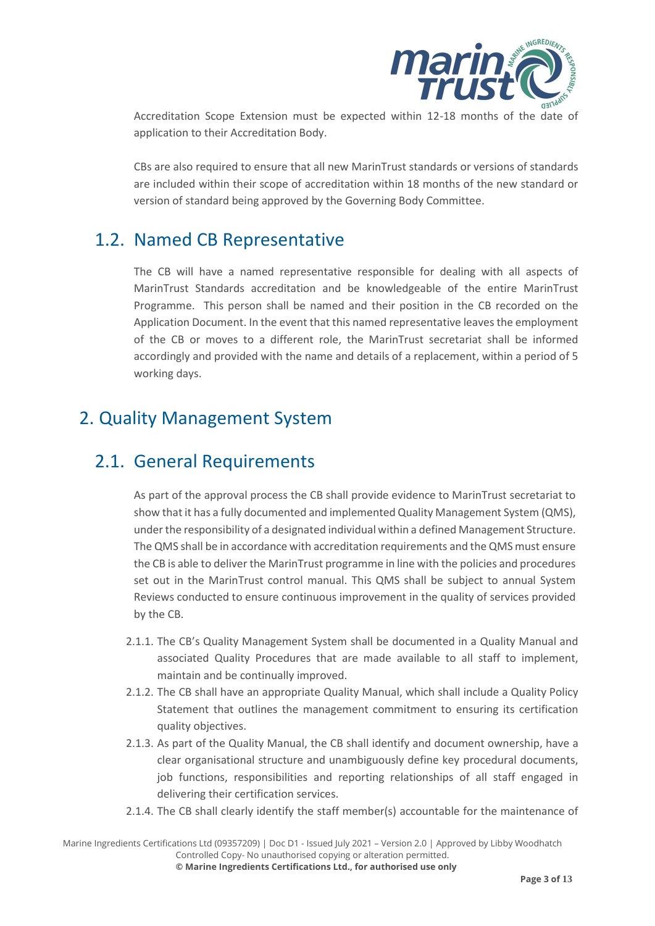

Accreditation Scope Extension must be expected within 12-18 months of the date of application to their Accreditation Body.

CBs are also required to ensure that all new MarinTrust standards or versions of standards are included within their scope of accreditation within 18 months of the new standard or version of standard being approved by the Governing Body Committee.

## 1.2. Named CB Representative

The CB will have a named representative responsible for dealing with all aspects of MarinTrust Standards accreditation and be knowledgeable of the entire MarinTrust Programme. This person shall be named and their position in the CB recorded on the Application Document. In the event that this named representative leaves the employment of the CB or moves to a different role, the MarinTrust secretariat shall be informed accordingly and provided with the name and details of a replacement, within a period of 5 working days.

# 2. Quality Management System

#### 2.1. General Requirements

As part of the approval process the CB shall provide evidence to MarinTrust secretariat to show that it has a fully documented and implemented Quality Management System (QMS), under the responsibility of a designated individual within a defined Management Structure. The QMS shall be in accordance with accreditation requirements and the QMS must ensure the CB is able to deliver the MarinTrust programme in line with the policies and procedures set out in the MarinTrust control manual. This QMS shall be subject to annual System Reviews conducted to ensure continuous improvement in the quality of services provided by the CB.

- 2.1.1. The CB's Quality Management System shall be documented in a Quality Manual and associated Quality Procedures that are made available to all staff to implement, maintain and be continually improved.
- 2.1.2. The CB shall have an appropriate Quality Manual, which shall include a Quality Policy Statement that outlines the management commitment to ensuring its certification quality objectives.
- 2.1.3. As part of the Quality Manual, the CB shall identify and document ownership, have a clear organisational structure and unambiguously define key procedural documents, job functions, responsibilities and reporting relationships of all staff engaged in delivering their certification services.
- 2.1.4. The CB shall clearly identify the staff member(s) accountable for the maintenance of

Marine Ingredients Certifications Ltd (09357209) | Doc D1 - Issued July 2021 – Version 2.0 | Approved by Libby Woodhatch Controlled Copy- No unauthorised copying or alteration permitted.

**© Marine Ingredients Certifications Ltd., for authorised use only**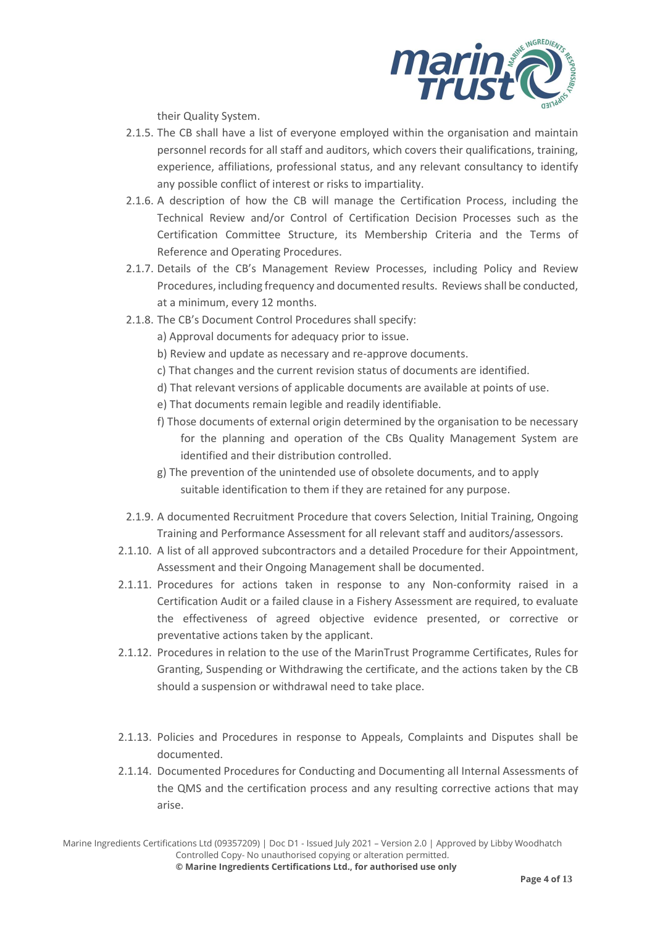

their Quality System.

- 2.1.5. The CB shall have a list of everyone employed within the organisation and maintain personnel records for all staff and auditors, which covers their qualifications, training, experience, affiliations, professional status, and any relevant consultancy to identify any possible conflict of interest or risks to impartiality.
- 2.1.6. A description of how the CB will manage the Certification Process, including the Technical Review and/or Control of Certification Decision Processes such as the Certification Committee Structure, its Membership Criteria and the Terms of Reference and Operating Procedures.
- 2.1.7. Details of the CB's Management Review Processes, including Policy and Review Procedures, including frequency and documented results. Reviews shall be conducted, at a minimum, every 12 months.
- 2.1.8. The CB's Document Control Procedures shall specify:
	- a) Approval documents for adequacy prior to issue.
	- b) Review and update as necessary and re-approve documents.
	- c) That changes and the current revision status of documents are identified.
	- d) That relevant versions of applicable documents are available at points of use.
	- e) That documents remain legible and readily identifiable.
	- f) Those documents of external origin determined by the organisation to be necessary for the planning and operation of the CBs Quality Management System are identified and their distribution controlled.
	- g) The prevention of the unintended use of obsolete documents, and to apply suitable identification to them if they are retained for any purpose.
- 2.1.9. A documented Recruitment Procedure that covers Selection, Initial Training, Ongoing Training and Performance Assessment for all relevant staff and auditors/assessors.
- 2.1.10. A list of all approved subcontractors and a detailed Procedure for their Appointment, Assessment and their Ongoing Management shall be documented.
- 2.1.11. Procedures for actions taken in response to any Non-conformity raised in a Certification Audit or a failed clause in a Fishery Assessment are required, to evaluate the effectiveness of agreed objective evidence presented, or corrective or preventative actions taken by the applicant.
- 2.1.12. Procedures in relation to the use of the MarinTrust Programme Certificates, Rules for Granting, Suspending or Withdrawing the certificate, and the actions taken by the CB should a suspension or withdrawal need to take place.
- 2.1.13. Policies and Procedures in response to Appeals, Complaints and Disputes shall be documented.
- 2.1.14. Documented Procedures for Conducting and Documenting all Internal Assessments of the QMS and the certification process and any resulting corrective actions that may arise.

Marine Ingredients Certifications Ltd (09357209) | Doc D1 - Issued July 2021 – Version 2.0 | Approved by Libby Woodhatch Controlled Copy- No unauthorised copying or alteration permitted.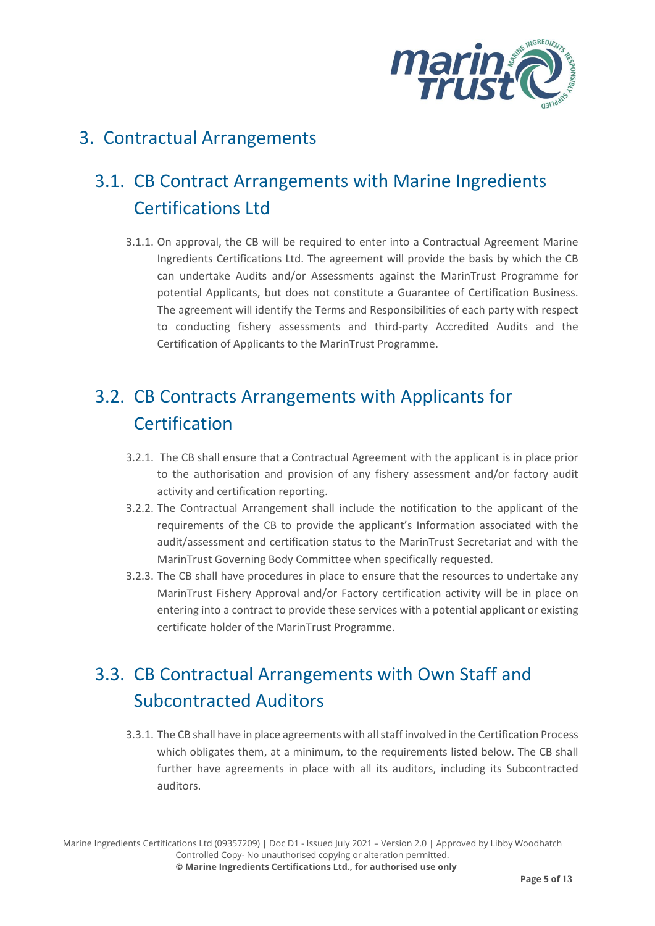

# 3. Contractual Arrangements

# 3.1. CB Contract Arrangements with Marine Ingredients Certifications Ltd

3.1.1. On approval, the CB will be required to enter into a Contractual Agreement Marine Ingredients Certifications Ltd. The agreement will provide the basis by which the CB can undertake Audits and/or Assessments against the MarinTrust Programme for potential Applicants, but does not constitute a Guarantee of Certification Business. The agreement will identify the Terms and Responsibilities of each party with respect to conducting fishery assessments and third-party Accredited Audits and the Certification of Applicants to the MarinTrust Programme.

# 3.2. CB Contracts Arrangements with Applicants for **Certification**

- 3.2.1. The CB shall ensure that a Contractual Agreement with the applicant is in place prior to the authorisation and provision of any fishery assessment and/or factory audit activity and certification reporting.
- 3.2.2. The Contractual Arrangement shall include the notification to the applicant of the requirements of the CB to provide the applicant's Information associated with the audit/assessment and certification status to the MarinTrust Secretariat and with the MarinTrust Governing Body Committee when specifically requested.
- 3.2.3. The CB shall have procedures in place to ensure that the resources to undertake any MarinTrust Fishery Approval and/or Factory certification activity will be in place on entering into a contract to provide these services with a potential applicant or existing certificate holder of the MarinTrust Programme.

# 3.3. CB Contractual Arrangements with Own Staff and Subcontracted Auditors

3.3.1. The CB shall have in place agreements with all staff involved in the Certification Process which obligates them, at a minimum, to the requirements listed below. The CB shall further have agreements in place with all its auditors, including its Subcontracted auditors.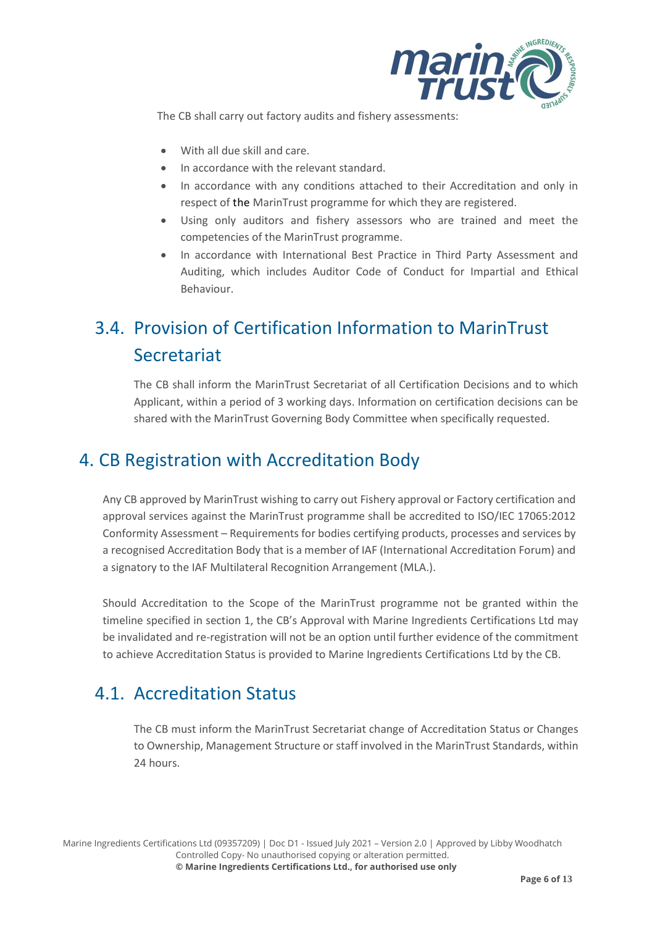

The CB shall carry out factory audits and fishery assessments:

- With all due skill and care.
- In accordance with the relevant standard.
- In accordance with any conditions attached to their Accreditation and only in respect of the MarinTrust programme for which they are registered.
- Using only auditors and fishery assessors who are trained and meet the competencies of the MarinTrust programme.
- In accordance with International Best Practice in Third Party Assessment and Auditing, which includes Auditor Code of Conduct for Impartial and Ethical Behaviour.

# 3.4. Provision of Certification Information to MarinTrust Secretariat

The CB shall inform the MarinTrust Secretariat of all Certification Decisions and to which Applicant, within a period of 3 working days. Information on certification decisions can be shared with the MarinTrust Governing Body Committee when specifically requested.

## 4. CB Registration with Accreditation Body

Any CB approved by MarinTrust wishing to carry out Fishery approval or Factory certification and approval services against the MarinTrust programme shall be accredited to ISO/IEC 17065:2012 Conformity Assessment – Requirements for bodies certifying products, processes and services by a recognised Accreditation Body that is a member of IAF (International Accreditation Forum) and a signatory to the IAF Multilateral Recognition Arrangement (MLA.).

Should Accreditation to the Scope of the MarinTrust programme not be granted within the timeline specified in section 1, the CB's Approval with Marine Ingredients Certifications Ltd may be invalidated and re-registration will not be an option until further evidence of the commitment to achieve Accreditation Status is provided to Marine Ingredients Certifications Ltd by the CB.

# 4.1. Accreditation Status

The CB must inform the MarinTrust Secretariat change of Accreditation Status or Changes to Ownership, Management Structure or staff involved in the MarinTrust Standards, within 24 hours.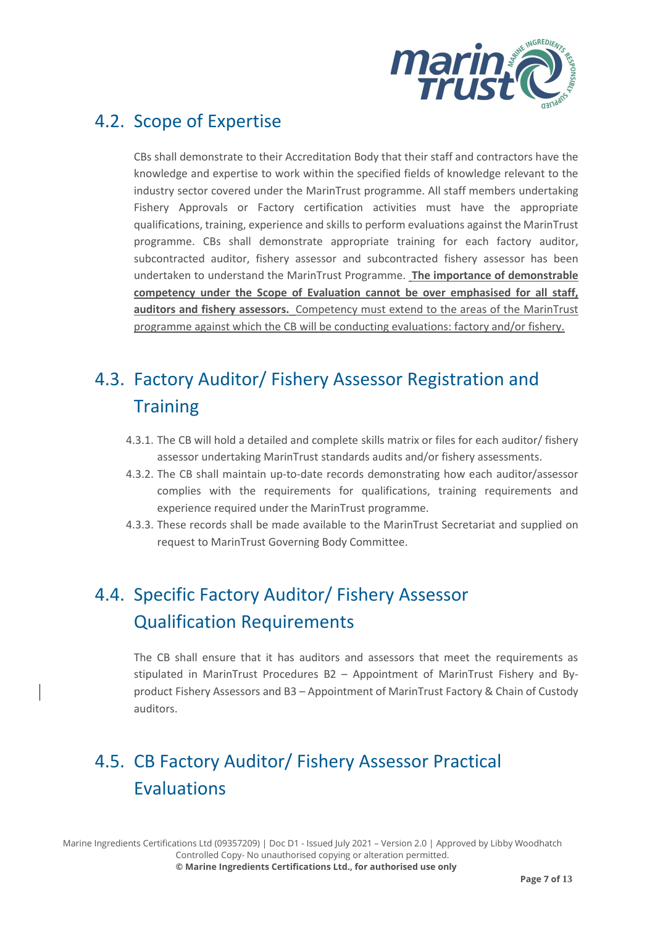

## 4.2. Scope of Expertise

CBs shall demonstrate to their Accreditation Body that their staff and contractors have the knowledge and expertise to work within the specified fields of knowledge relevant to the industry sector covered under the MarinTrust programme. All staff members undertaking Fishery Approvals or Factory certification activities must have the appropriate qualifications, training, experience and skills to perform evaluations against the MarinTrust programme. CBs shall demonstrate appropriate training for each factory auditor, subcontracted auditor, fishery assessor and subcontracted fishery assessor has been undertaken to understand the MarinTrust Programme. **The importance of demonstrable competency under the Scope of Evaluation cannot be over emphasised for all staff, auditors and fishery assessors.** Competency must extend to the areas of the MarinTrust programme against which the CB will be conducting evaluations: factory and/or fishery.

# 4.3. Factory Auditor/ Fishery Assessor Registration and **Training**

- 4.3.1. The CB will hold a detailed and complete skills matrix or files for each auditor/ fishery assessor undertaking MarinTrust standards audits and/or fishery assessments.
- 4.3.2. The CB shall maintain up-to-date records demonstrating how each auditor/assessor complies with the requirements for qualifications, training requirements and experience required under the MarinTrust programme.
- 4.3.3. These records shall be made available to the MarinTrust Secretariat and supplied on request to MarinTrust Governing Body Committee.

# 4.4. Specific Factory Auditor/ Fishery Assessor Qualification Requirements

The CB shall ensure that it has auditors and assessors that meet the requirements as stipulated in MarinTrust Procedures B2 – Appointment of MarinTrust Fishery and Byproduct Fishery Assessors and B3 – Appointment of MarinTrust Factory & Chain of Custody auditors.

# 4.5. CB Factory Auditor/ Fishery Assessor Practical Evaluations

Marine Ingredients Certifications Ltd (09357209) | Doc D1 - Issued July 2021 – Version 2.0 | Approved by Libby Woodhatch Controlled Copy- No unauthorised copying or alteration permitted. **© Marine Ingredients Certifications Ltd., for authorised use only**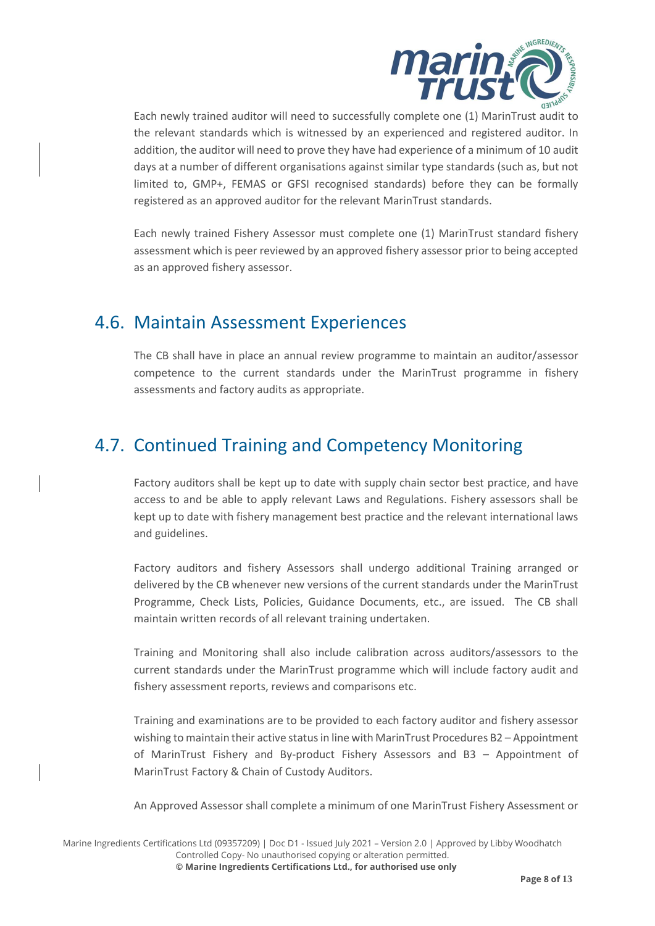

Each newly trained auditor will need to successfully complete one (1) MarinTrust audit to the relevant standards which is witnessed by an experienced and registered auditor. In addition, the auditor will need to prove they have had experience of a minimum of 10 audit days at a number of different organisations against similar type standards (such as, but not limited to, GMP+, FEMAS or GFSI recognised standards) before they can be formally registered as an approved auditor for the relevant MarinTrust standards.

Each newly trained Fishery Assessor must complete one (1) MarinTrust standard fishery assessment which is peer reviewed by an approved fishery assessor prior to being accepted as an approved fishery assessor.

## 4.6. Maintain Assessment Experiences

The CB shall have in place an annual review programme to maintain an auditor/assessor competence to the current standards under the MarinTrust programme in fishery assessments and factory audits as appropriate.

# 4.7. Continued Training and Competency Monitoring

Factory auditors shall be kept up to date with supply chain sector best practice, and have access to and be able to apply relevant Laws and Regulations. Fishery assessors shall be kept up to date with fishery management best practice and the relevant international laws and guidelines.

Factory auditors and fishery Assessors shall undergo additional Training arranged or delivered by the CB whenever new versions of the current standards under the MarinTrust Programme, Check Lists, Policies, Guidance Documents, etc., are issued. The CB shall maintain written records of all relevant training undertaken.

Training and Monitoring shall also include calibration across auditors/assessors to the current standards under the MarinTrust programme which will include factory audit and fishery assessment reports, reviews and comparisons etc.

Training and examinations are to be provided to each factory auditor and fishery assessor wishing to maintain their active statusin line with MarinTrust Procedures B2 – Appointment of MarinTrust Fishery and By-product Fishery Assessors and B3 – Appointment of MarinTrust Factory & Chain of Custody Auditors.

An Approved Assessor shall complete a minimum of one MarinTrust Fishery Assessment or

Marine Ingredients Certifications Ltd (09357209) | Doc D1 - Issued July 2021 – Version 2.0 | Approved by Libby Woodhatch Controlled Copy- No unauthorised copying or alteration permitted. **© Marine Ingredients Certifications Ltd., for authorised use only**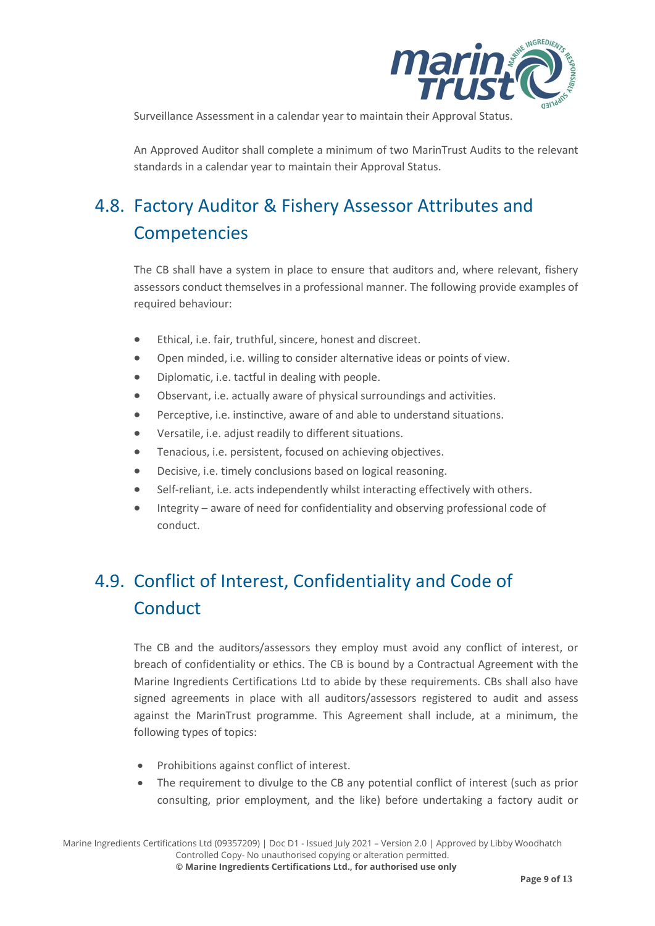

Surveillance Assessment in a calendar year to maintain their Approval Status.

An Approved Auditor shall complete a minimum of two MarinTrust Audits to the relevant standards in a calendar year to maintain their Approval Status.

# 4.8. Factory Auditor & Fishery Assessor Attributes and Competencies

The CB shall have a system in place to ensure that auditors and, where relevant, fishery assessors conduct themselves in a professional manner. The following provide examples of required behaviour:

- Ethical, i.e. fair, truthful, sincere, honest and discreet.
- Open minded, i.e. willing to consider alternative ideas or points of view.
- Diplomatic, i.e. tactful in dealing with people.
- Observant, i.e. actually aware of physical surroundings and activities.
- Perceptive, i.e. instinctive, aware of and able to understand situations.
- Versatile, i.e. adjust readily to different situations.
- Tenacious, i.e. persistent, focused on achieving objectives.
- Decisive, i.e. timely conclusions based on logical reasoning.
- Self-reliant, i.e. acts independently whilst interacting effectively with others.
- Integrity aware of need for confidentiality and observing professional code of conduct.

# 4.9. Conflict of Interest, Confidentiality and Code of **Conduct**

The CB and the auditors/assessors they employ must avoid any conflict of interest, or breach of confidentiality or ethics. The CB is bound by a Contractual Agreement with the Marine Ingredients Certifications Ltd to abide by these requirements. CBs shall also have signed agreements in place with all auditors/assessors registered to audit and assess against the MarinTrust programme. This Agreement shall include, at a minimum, the following types of topics:

- Prohibitions against conflict of interest.
- The requirement to divulge to the CB any potential conflict of interest (such as prior consulting, prior employment, and the like) before undertaking a factory audit or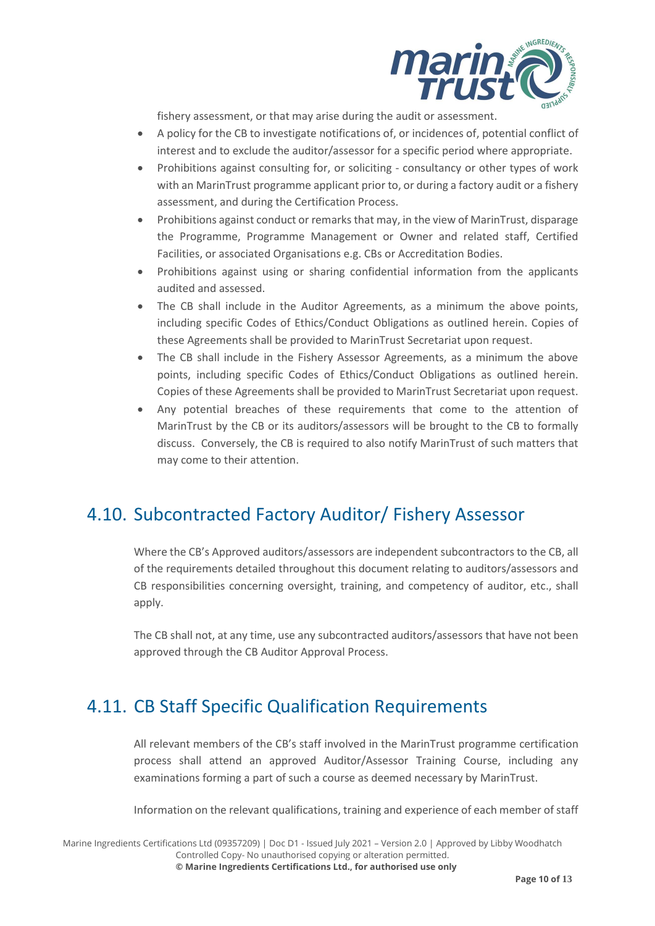

fishery assessment, or that may arise during the audit or assessment.

- A policy for the CB to investigate notifications of, or incidences of, potential conflict of interest and to exclude the auditor/assessor for a specific period where appropriate.
- Prohibitions against consulting for, or soliciting consultancy or other types of work with an MarinTrust programme applicant prior to, or during a factory audit or a fishery assessment, and during the Certification Process.
- Prohibitions against conduct or remarks that may, in the view of MarinTrust, disparage the Programme, Programme Management or Owner and related staff, Certified Facilities, or associated Organisations e.g. CBs or Accreditation Bodies.
- Prohibitions against using or sharing confidential information from the applicants audited and assessed.
- The CB shall include in the Auditor Agreements, as a minimum the above points, including specific Codes of Ethics/Conduct Obligations as outlined herein. Copies of these Agreements shall be provided to MarinTrust Secretariat upon request.
- The CB shall include in the Fishery Assessor Agreements, as a minimum the above points, including specific Codes of Ethics/Conduct Obligations as outlined herein. Copies of these Agreements shall be provided to MarinTrust Secretariat upon request.
- Any potential breaches of these requirements that come to the attention of MarinTrust by the CB or its auditors/assessors will be brought to the CB to formally discuss. Conversely, the CB is required to also notify MarinTrust of such matters that may come to their attention.

## 4.10. Subcontracted Factory Auditor/ Fishery Assessor

Where the CB's Approved auditors/assessors are independent subcontractors to the CB, all of the requirements detailed throughout this document relating to auditors/assessors and CB responsibilities concerning oversight, training, and competency of auditor, etc., shall apply.

The CB shall not, at any time, use any subcontracted auditors/assessors that have not been approved through the CB Auditor Approval Process.

# 4.11. CB Staff Specific Qualification Requirements

All relevant members of the CB's staff involved in the MarinTrust programme certification process shall attend an approved Auditor/Assessor Training Course, including any examinations forming a part of such a course as deemed necessary by MarinTrust.

Information on the relevant qualifications, training and experience of each member of staff

Marine Ingredients Certifications Ltd (09357209) | Doc D1 - Issued July 2021 – Version 2.0 | Approved by Libby Woodhatch Controlled Copy- No unauthorised copying or alteration permitted.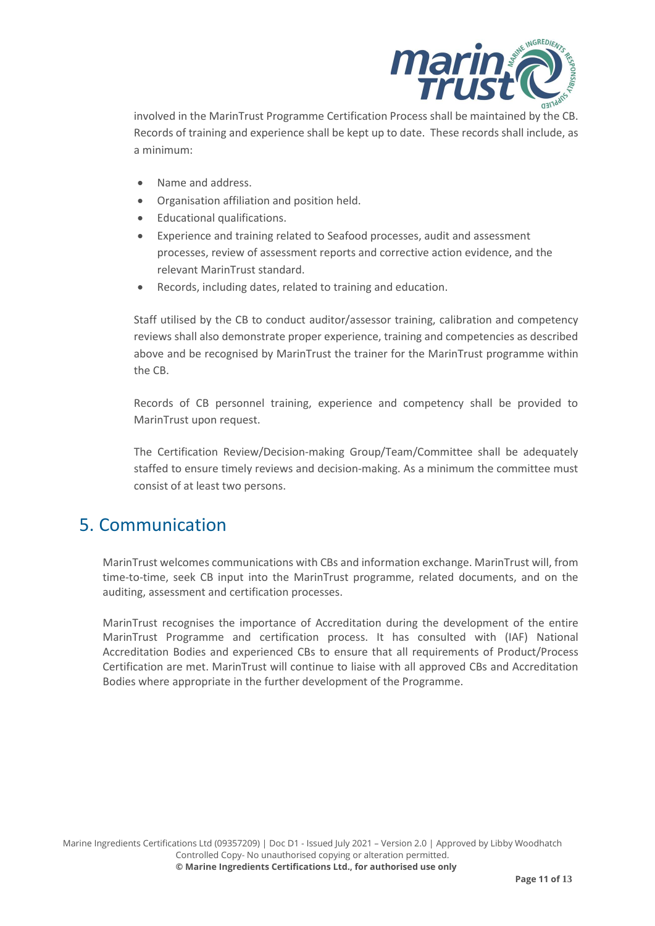

involved in the MarinTrust Programme Certification Process shall be maintained by the CB. Records of training and experience shall be kept up to date. These records shall include, as a minimum:

- Name and address.
- Organisation affiliation and position held.
- Educational qualifications.
- Experience and training related to Seafood processes, audit and assessment processes, review of assessment reports and corrective action evidence, and the relevant MarinTrust standard.
- Records, including dates, related to training and education.

Staff utilised by the CB to conduct auditor/assessor training, calibration and competency reviews shall also demonstrate proper experience, training and competencies as described above and be recognised by MarinTrust the trainer for the MarinTrust programme within the CB.

Records of CB personnel training, experience and competency shall be provided to MarinTrust upon request.

The Certification Review/Decision-making Group/Team/Committee shall be adequately staffed to ensure timely reviews and decision-making. As a minimum the committee must consist of at least two persons.

## 5. Communication

MarinTrust welcomes communications with CBs and information exchange. MarinTrust will, from time-to-time, seek CB input into the MarinTrust programme, related documents, and on the auditing, assessment and certification processes.

MarinTrust recognises the importance of Accreditation during the development of the entire MarinTrust Programme and certification process. It has consulted with (IAF) National Accreditation Bodies and experienced CBs to ensure that all requirements of Product/Process Certification are met. MarinTrust will continue to liaise with all approved CBs and Accreditation Bodies where appropriate in the further development of the Programme.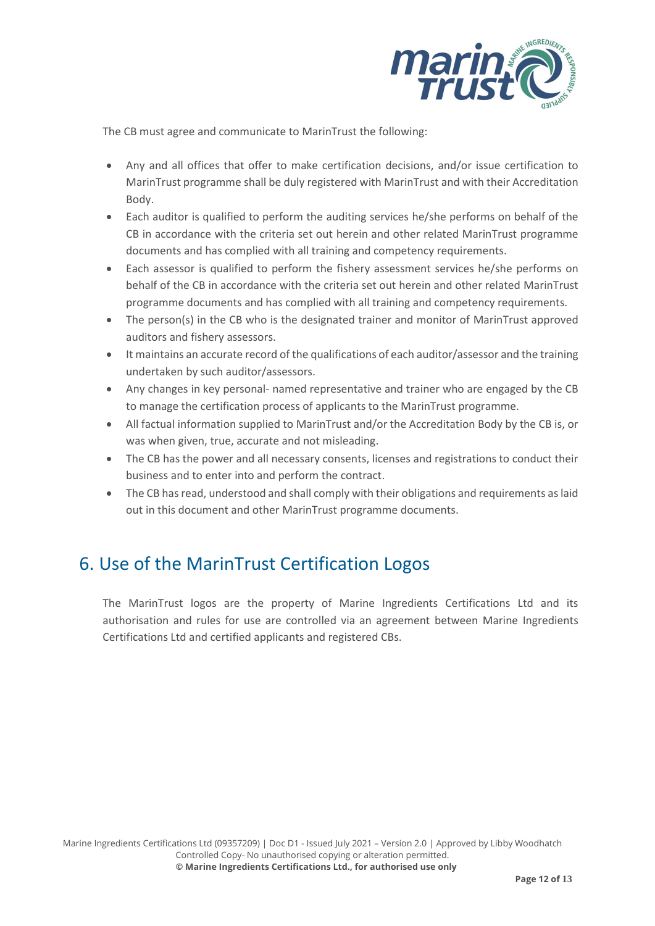

The CB must agree and communicate to MarinTrust the following:

- Any and all offices that offer to make certification decisions, and/or issue certification to MarinTrust programme shall be duly registered with MarinTrust and with their Accreditation Body.
- Each auditor is qualified to perform the auditing services he/she performs on behalf of the CB in accordance with the criteria set out herein and other related MarinTrust programme documents and has complied with all training and competency requirements.
- Each assessor is qualified to perform the fishery assessment services he/she performs on behalf of the CB in accordance with the criteria set out herein and other related MarinTrust programme documents and has complied with all training and competency requirements.
- The person(s) in the CB who is the designated trainer and monitor of MarinTrust approved auditors and fishery assessors.
- It maintains an accurate record of the qualifications of each auditor/assessor and the training undertaken by such auditor/assessors.
- Any changes in key personal- named representative and trainer who are engaged by the CB to manage the certification process of applicants to the MarinTrust programme.
- All factual information supplied to MarinTrust and/or the Accreditation Body by the CB is, or was when given, true, accurate and not misleading.
- The CB has the power and all necessary consents, licenses and registrations to conduct their business and to enter into and perform the contract.
- The CB has read, understood and shall comply with their obligations and requirements as laid out in this document and other MarinTrust programme documents.

## 6. Use of the MarinTrust Certification Logos

The MarinTrust logos are the property of Marine Ingredients Certifications Ltd and its authorisation and rules for use are controlled via an agreement between Marine Ingredients Certifications Ltd and certified applicants and registered CBs.